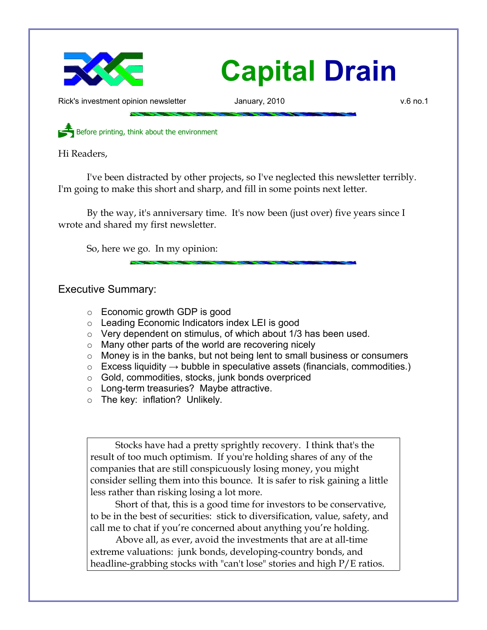

## **Capital Drain**

Rick's investment opinion newsletter and January, 2010 v.6 no.1

Before printing, think about the environment

Hi Readers,

I've been distracted by other projects, so I've neglected this newsletter terribly. I'm going to make this short and sharp, and fill in some points next letter.

By the way, it's anniversary time. It's now been (just over) five years since I wrote and shared my first newsletter.

So, here we go. In my opinion:

Executive Summary:

- Economic growth GDP is good
- Leading Economic Indicators index LEI is good
- Very dependent on stimulus, of which about 1/3 has been used.
- Many other parts of the world are recovering nicely
- Money is in the banks, but not being lent to small business or consumers
- $\circ$  Excess liquidity  $\rightarrow$  bubble in speculative assets (financials, commodities.)
- Gold, commodities, stocks, junk bonds overpriced
- Long-term treasuries? Maybe attractive.
- The key: inflation? Unlikely.

Stocks have had a pretty sprightly recovery. I think that's the result of too much optimism. If you're holding shares of any of the companies that are still conspicuously losing money, you might consider selling them into this bounce. It is safer to risk gaining a little less rather than risking losing a lot more.

Short of that, this is a good time for investors to be conservative, to be in the best of securities: stick to diversification, value, safety, and call me to chat if you're concerned about anything you're holding.

Above all, as ever, avoid the investments that are at all-time extreme valuations: junk bonds, developing-country bonds, and headline-grabbing stocks with "can't lose" stories and high P/E ratios.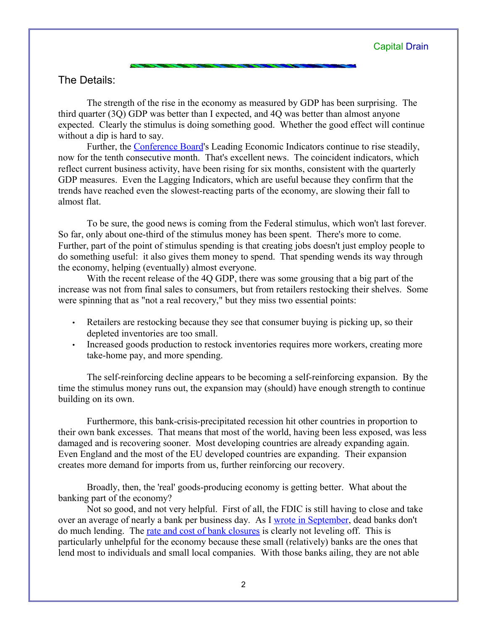## The Details:

The strength of the rise in the economy as measured by GDP has been surprising. The third quarter (3Q) GDP was better than I expected, and 4Q was better than almost anyone expected. Clearly the stimulus is doing something good. Whether the good effect will continue without a dip is hard to say.

Further, the [Conference Board](http://www.conference-board.org/economics/bci/)'s Leading Economic Indicators continue to rise steadily, now for the tenth consecutive month. That's excellent news. The coincident indicators, which reflect current business activity, have been rising for six months, consistent with the quarterly GDP measures. Even the Lagging Indicators, which are useful because they confirm that the trends have reached even the slowest-reacting parts of the economy, are slowing their fall to almost flat.

To be sure, the good news is coming from the Federal stimulus, which won't last forever. So far, only about one-third of the stimulus money has been spent. There's more to come. Further, part of the point of stimulus spending is that creating jobs doesn't just employ people to do something useful: it also gives them money to spend. That spending wends its way through the economy, helping (eventually) almost everyone.

With the recent release of the 4Q GDP, there was some grousing that a big part of the increase was not from final sales to consumers, but from retailers restocking their shelves. Some were spinning that as "not a real recovery," but they miss two essential points:

- Retailers are restocking because they see that consumer buying is picking up, so their depleted inventories are too small.
- Increased goods production to restock inventories requires more workers, creating more take-home pay, and more spending.

The self-reinforcing decline appears to be becoming a self-reinforcing expansion. By the time the stimulus money runs out, the expansion may (should) have enough strength to continue building on its own.

Furthermore, this bank-crisis-precipitated recession hit other countries in proportion to their own bank excesses. That means that most of the world, having been less exposed, was less damaged and is recovering sooner. Most developing countries are already expanding again. Even England and the most of the EU developed countries are expanding. Their expansion creates more demand for imports from us, further reinforcing our recovery.

Broadly, then, the 'real' goods-producing economy is getting better. What about the banking part of the economy?

Not so good, and not very helpful. First of all, the FDIC is still having to close and take over an average of nearly a bank per business day. As I [wrote in September,](http://www.longspliceinvest.com/CapDrain/CapDrain_v5n4.pdf) dead banks don't do much lending. The [rate and cost of bank closures](http://www.longspliceinvest.com/econCharts.shtml) is clearly not leveling off. This is particularly unhelpful for the economy because these small (relatively) banks are the ones that lend most to individuals and small local companies. With those banks ailing, they are not able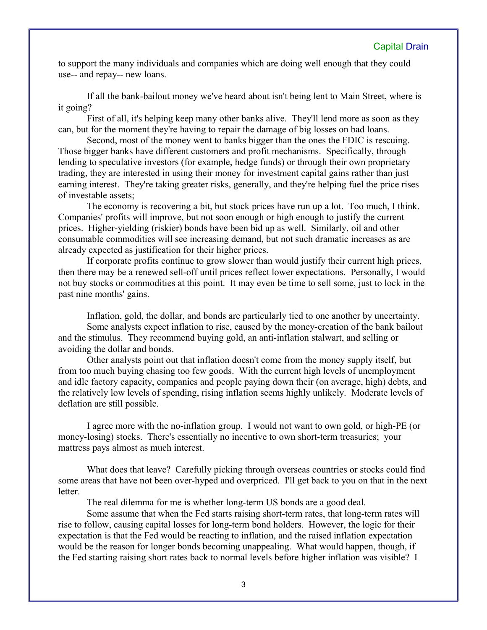to support the many individuals and companies which are doing well enough that they could use-- and repay-- new loans.

If all the bank-bailout money we've heard about isn't being lent to Main Street, where is it going?

First of all, it's helping keep many other banks alive. They'll lend more as soon as they can, but for the moment they're having to repair the damage of big losses on bad loans.

Second, most of the money went to banks bigger than the ones the FDIC is rescuing. Those bigger banks have different customers and profit mechanisms. Specifically, through lending to speculative investors (for example, hedge funds) or through their own proprietary trading, they are interested in using their money for investment capital gains rather than just earning interest. They're taking greater risks, generally, and they're helping fuel the price rises of investable assets;

The economy is recovering a bit, but stock prices have run up a lot. Too much, I think. Companies' profits will improve, but not soon enough or high enough to justify the current prices. Higher-yielding (riskier) bonds have been bid up as well. Similarly, oil and other consumable commodities will see increasing demand, but not such dramatic increases as are already expected as justification for their higher prices.

If corporate profits continue to grow slower than would justify their current high prices, then there may be a renewed sell-off until prices reflect lower expectations. Personally, I would not buy stocks or commodities at this point. It may even be time to sell some, just to lock in the past nine months' gains.

Inflation, gold, the dollar, and bonds are particularly tied to one another by uncertainty. Some analysts expect inflation to rise, caused by the money-creation of the bank bailout and the stimulus. They recommend buying gold, an anti-inflation stalwart, and selling or avoiding the dollar and bonds.

Other analysts point out that inflation doesn't come from the money supply itself, but from too much buying chasing too few goods. With the current high levels of unemployment and idle factory capacity, companies and people paying down their (on average, high) debts, and the relatively low levels of spending, rising inflation seems highly unlikely. Moderate levels of deflation are still possible.

I agree more with the no-inflation group. I would not want to own gold, or high-PE (or money-losing) stocks. There's essentially no incentive to own short-term treasuries; your mattress pays almost as much interest.

What does that leave? Carefully picking through overseas countries or stocks could find some areas that have not been over-hyped and overpriced. I'll get back to you on that in the next **letter** 

The real dilemma for me is whether long-term US bonds are a good deal.

Some assume that when the Fed starts raising short-term rates, that long-term rates will rise to follow, causing capital losses for long-term bond holders. However, the logic for their expectation is that the Fed would be reacting to inflation, and the raised inflation expectation would be the reason for longer bonds becoming unappealing. What would happen, though, if the Fed starting raising short rates back to normal levels before higher inflation was visible? I